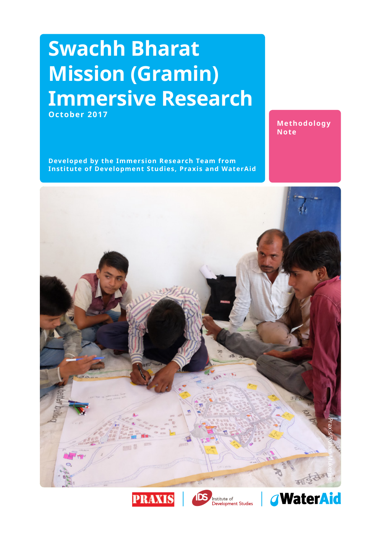### **Swachh Bharat Mission (Gramin) Immersive Research October 2017**

**Methodology Note**

**Developed by the Immersion Research Team from Institute of Development Studies, Praxis and WaterAid**







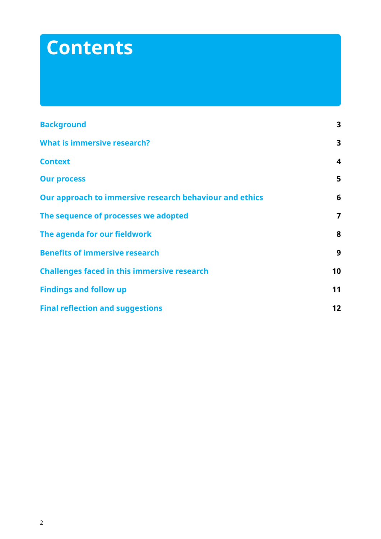# **Contents**

| <b>Background</b>                                       | $\overline{\mathbf{3}}$ |
|---------------------------------------------------------|-------------------------|
| <b>What is immersive research?</b>                      | $\overline{\mathbf{3}}$ |
| <b>Context</b>                                          | $\overline{\mathbf{4}}$ |
| <b>Our process</b>                                      | 5                       |
| Our approach to immersive research behaviour and ethics | 6                       |
| The sequence of processes we adopted                    | $\overline{7}$          |
| The agenda for our fieldwork                            | 8                       |
| <b>Benefits of immersive research</b>                   | 9                       |
| <b>Challenges faced in this immersive research</b>      | 10                      |
| <b>Findings and follow up</b>                           | 11                      |
| <b>Final reflection and suggestions</b>                 | 12                      |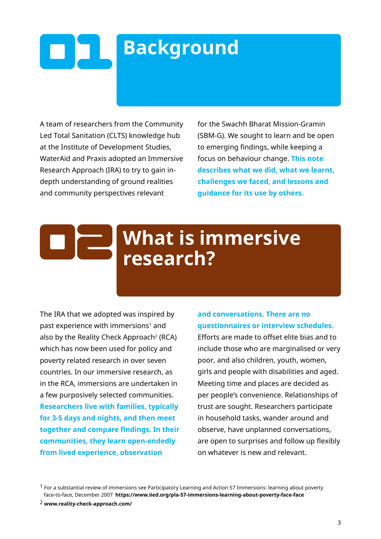### <span id="page-2-0"></span> $\begin{array}{|c|c|} \hline \textbf{0} & \textbf{1} \end{array}$ **Background**

A team of researchers from the Community Led Total Sanitation (CLTS) knowledge hub at the Institute of Development Studies, WaterAid and Praxis adopted an Immersive Research Approach (IRA) to try to gain indepth understanding of ground realities and community perspectives relevant

for the Swachh Bharat Mission-Gramin (SBM-G). We sought to learn and be open to emerging findings, while keeping a focus on behaviour change. **This note describes what we did, what we learnt, challenges we faced, and lessons and guidance for its use by others.**

## **What is immersive research?**

The IRA that we adopted was inspired by past experience with immersions<sup>1</sup> and also by the Reality Check Approach<sup>2</sup> (RCA) which has now been used for policy and poverty related research in over seven countries. In our immersive research, as in the RCA, immersions are undertaken in a few purposively selected communities. **Researchers live with families, typically for 3-5 days and nights, and then meet together and compare findings. In their communities, they learn open-endedly from lived experience, observation** 

#### **and conversations. There are no questionnaires or interview schedules.**

Efforts are made to offset elite bias and to include those who are marginalised or very poor, and also children, youth, women, girls and people with disabilities and aged. Meeting time and places are decided as per people's convenience. Relationships of trust are sought. Researchers participate in household tasks, wander around and observe, have unplanned conversations, are open to surprises and follow up flexibly on whatever is new and relevant.

 $1$  For a substantial review of immersions see Participatory Learning and Action 57 Immersions: learning about poverty face-to-face, December 2007 **<https://www.iied.org/pla-57-immersions-learning-about-poverty-face-face>**

2 **<www.reality-check-approach.com/>**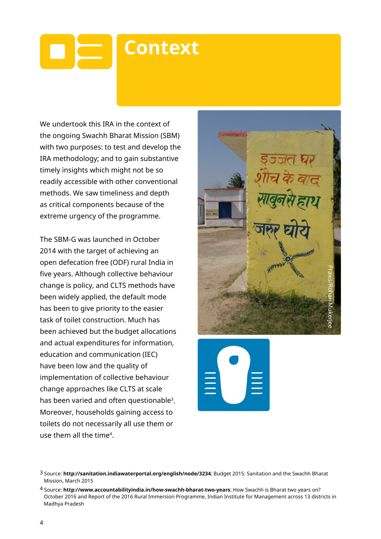### <span id="page-3-0"></span> $\blacksquare$ **Context**

We undertook this IRA in the context of the ongoing Swachh Bharat Mission (SBM) with two purposes: to test and develop the IRA methodology; and to gain substantive timely insights which might not be so readily accessible with other conventional methods. We saw timeliness and depth as critical components because of the extreme urgency of the programme.

The SBM-G was launched in October 2014 with the target of achieving an open defecation free (ODF) rural India in five years. Although collective behaviour change is policy, and CLTS methods have been widely applied, the default mode has been to give priority to the easier task of toilet construction. Much has been achieved but the budget allocations and actual expenditures for information, education and communication (IEC) have been low and the quality of implementation of collective behaviour change approaches like CLTS at scale has been varied and often questionable<sup>3</sup>. Moreover, households gaining access to toilets do not necessarily all use them or use them all the time4.





<sup>3</sup> Source: **<http://sanitation.indiawaterportal.org/english/node/3234>**; Budget 2015: Sanitation and the Swachh Bharat Mission, March 2015

<sup>4</sup> Source: **<http://www.accountabilityindia.in/how-swachh-bharat-two-years>**; How Swachh is Bharat two years on? October 2016 and Report of the 2016 Rural Immersion Programme, Indian Institute for Management across 13 districts in Madhya Pradesh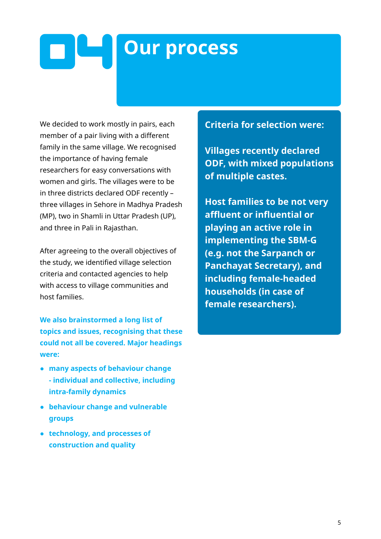# <span id="page-4-0"></span>**Our process**

We decided to work mostly in pairs, each member of a pair living with a different family in the same village. We recognised the importance of having female researchers for easy conversations with women and girls. The villages were to be in three districts declared ODF recently – three villages in Sehore in Madhya Pradesh (MP), two in Shamli in Uttar Pradesh (UP), and three in Pali in Rajasthan.

After agreeing to the overall objectives of the study, we identified village selection criteria and contacted agencies to help with access to village communities and host families.

**We also brainstormed a long list of topics and issues, recognising that these could not all be covered. Major headings were:** 

- **many aspects of behaviour change - individual and collective, including intra-family dynamics**
- **behaviour change and vulnerable groups**
- **technology, and processes of construction and quality**

#### **Criteria for selection were:**

**Villages recently declared ODF, with mixed populations of multiple castes.**

**Host families to be not very affluent or influential or playing an active role in implementing the SBM-G (e.g. not the Sarpanch or Panchayat Secretary), and including female-headed households (in case of female researchers).**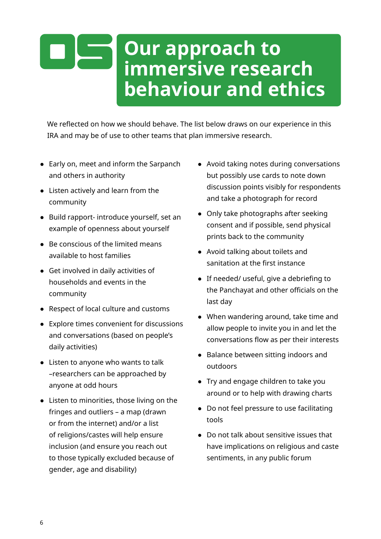### <span id="page-5-0"></span>**Our approach to immersive research behaviour and ethics**

We reflected on how we should behave. The list below draws on our experience in this IRA and may be of use to other teams that plan immersive research.

- Early on, meet and inform the Sarpanch and others in authority
- Listen actively and learn from the community
- Build rapport- introduce yourself, set an example of openness about yourself
- Be conscious of the limited means available to host families
- Get involved in daily activities of households and events in the community
- Respect of local culture and customs
- Explore times convenient for discussions and conversations (based on people's daily activities)
- Listen to anyone who wants to talk –researchers can be approached by anyone at odd hours
- Listen to minorities, those living on the fringes and outliers – a map (drawn or from the internet) and/or a list of religions/castes will help ensure inclusion (and ensure you reach out to those typically excluded because of gender, age and disability)
- Avoid taking notes during conversations but possibly use cards to note down discussion points visibly for respondents and take a photograph for record
- Only take photographs after seeking consent and if possible, send physical prints back to the community
- Avoid talking about toilets and sanitation at the first instance
- If needed/ useful, give a debriefing to the Panchayat and other officials on the last day
- When wandering around, take time and allow people to invite you in and let the conversations flow as per their interests
- Balance between sitting indoors and outdoors
- Try and engage children to take you around or to help with drawing charts
- Do not feel pressure to use facilitating tools
- Do not talk about sensitive issues that have implications on religious and caste sentiments, in any public forum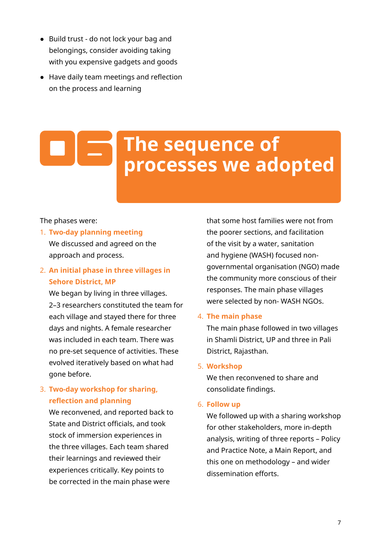- <span id="page-6-0"></span>● Build trust - do not lock your bag and belongings, consider avoiding taking with you expensive gadgets and goods
- Have daily team meetings and reflection on the process and learning

### **The sequence of**   $\blacksquare$ **processes we adopted**

#### The phases were:

1. **Two-day planning meeting** We discussed and agreed on the approach and process.

#### 2. **An initial phase in three villages in Sehore District, MP**

We began by living in three villages. 2–3 researchers constituted the team for each village and stayed there for three days and nights. A female researcher was included in each team. There was no pre-set sequence of activities. These evolved iteratively based on what had gone before.

#### 3. **Two-day workshop for sharing, reflection and planning**

We reconvened, and reported back to State and District officials, and took stock of immersion experiences in the three villages. Each team shared their learnings and reviewed their experiences critically. Key points to be corrected in the main phase were

that some host families were not from the poorer sections, and facilitation of the visit by a water, sanitation and hygiene (WASH) focused nongovernmental organisation (NGO) made the community more conscious of their responses. The main phase villages were selected by non- WASH NGOs.

#### 4. **The main phase**

The main phase followed in two villages in Shamli District, UP and three in Pali District, Rajasthan.

#### 5. **Workshop**

We then reconvened to share and consolidate findings.

#### 6. **Follow up**

We followed up with a sharing workshop for other stakeholders, more in-depth analysis, writing of three reports – Policy and Practice Note, a Main Report, and this one on methodology – and wider dissemination efforts.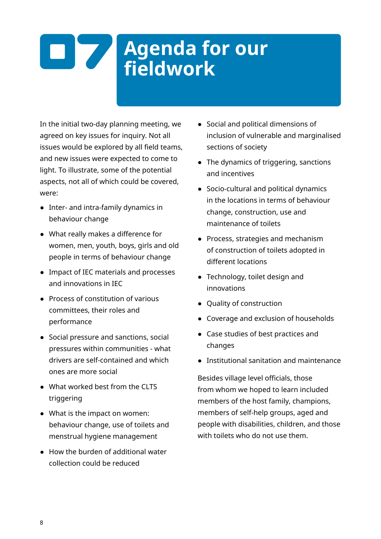# <span id="page-7-0"></span>**Agenda for our fieldwork**

In the initial two-day planning meeting, we agreed on key issues for inquiry. Not all issues would be explored by all field teams, and new issues were expected to come to light. To illustrate, some of the potential aspects, not all of which could be covered, were:

- Inter- and intra-family dynamics in behaviour change
- What really makes a difference for women, men, youth, boys, girls and old people in terms of behaviour change
- Impact of IEC materials and processes and innovations in IEC
- Process of constitution of various committees, their roles and performance
- Social pressure and sanctions, social pressures within communities - what drivers are self-contained and which ones are more social
- What worked best from the CLTS triggering
- What is the impact on women: behaviour change, use of toilets and menstrual hygiene management
- How the burden of additional water collection could be reduced
- Social and political dimensions of inclusion of vulnerable and marginalised sections of society
- The dynamics of triggering, sanctions and incentives
- Socio-cultural and political dynamics in the locations in terms of behaviour change, construction, use and maintenance of toilets
- Process, strategies and mechanism of construction of toilets adopted in different locations
- Technology, toilet design and innovations
- Quality of construction
- Coverage and exclusion of households
- Case studies of best practices and changes
- Institutional sanitation and maintenance

Besides village level officials, those from whom we hoped to learn included members of the host family, champions, members of self-help groups, aged and people with disabilities, children, and those with toilets who do not use them.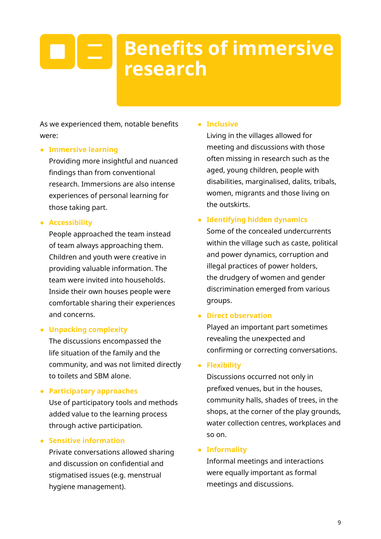### <span id="page-8-0"></span>**Benefits of immersive**   $\vert$  =  $\vert$ **research**

As we experienced them, notable benefits were:

#### ● **Immersive learning**

Providing more insightful and nuanced findings than from conventional research. Immersions are also intense experiences of personal learning for those taking part.

#### ● **Accessibility**

People approached the team instead of team always approaching them. Children and youth were creative in providing valuable information. The team were invited into households. Inside their own houses people were comfortable sharing their experiences and concerns.

#### ● **Unpacking complexity**

The discussions encompassed the life situation of the family and the community, and was not limited directly to toilets and SBM alone.

#### ● **Participatory approaches**

Use of participatory tools and methods added value to the learning process through active participation.

#### ● **Sensitive information**

Private conversations allowed sharing and discussion on confidential and stigmatised issues (e.g. menstrual hygiene management).

#### ● **Inclusive**

Living in the villages allowed for meeting and discussions with those often missing in research such as the aged, young children, people with disabilities, marginalised, dalits, tribals, women, migrants and those living on the outskirts.

#### ● **Identifying hidden dynamics**

Some of the concealed undercurrents within the village such as caste, political and power dynamics, corruption and illegal practices of power holders, the drudgery of women and gender discrimination emerged from various groups.

#### ● **Direct observation**

Played an important part sometimes revealing the unexpected and confirming or correcting conversations.

#### ● **Flexibility**

Discussions occurred not only in prefixed venues, but in the houses, community halls, shades of trees, in the shops, at the corner of the play grounds, water collection centres, workplaces and so on.

#### ● **Informality**

Informal meetings and interactions were equally important as formal meetings and discussions.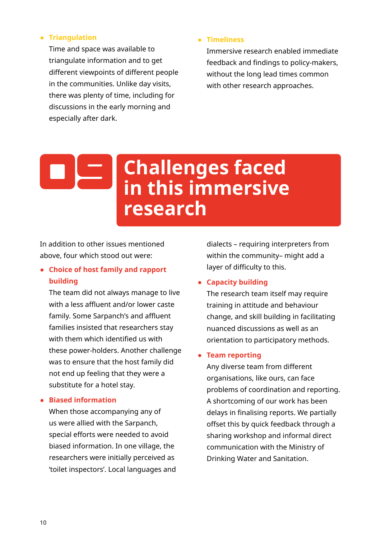#### <span id="page-9-0"></span>● **Triangulation**

Time and space was available to triangulate information and to get different viewpoints of different people in the communities. Unlike day visits, there was plenty of time, including for discussions in the early morning and especially after dark.

#### ● **Timeliness**

Immersive research enabled immediate feedback and findings to policy-makers, without the long lead times common with other research approaches.

### **Challenges faced in this immersive research**

In addition to other issues mentioned above, four which stood out were:

#### ● **Choice of host family and rapport building**

The team did not always manage to live with a less affluent and/or lower caste family. Some Sarpanch's and affluent families insisted that researchers stay with them which identified us with these power-holders. Another challenge was to ensure that the host family did not end up feeling that they were a substitute for a hotel stay.

#### ● **Biased information**

When those accompanying any of us were allied with the Sarpanch, special efforts were needed to avoid biased information. In one village, the researchers were initially perceived as 'toilet inspectors'. Local languages and dialects – requiring interpreters from within the community– might add a layer of difficulty to this.

#### ● **Capacity building**

The research team itself may require training in attitude and behaviour change, and skill building in facilitating nuanced discussions as well as an orientation to participatory methods.

#### ● **Team reporting**

Any diverse team from different organisations, like ours, can face problems of coordination and reporting. A shortcoming of our work has been delays in finalising reports. We partially offset this by quick feedback through a sharing workshop and informal direct communication with the Ministry of Drinking Water and Sanitation.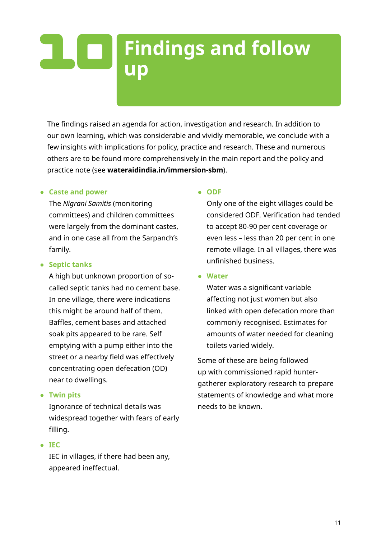### <span id="page-10-0"></span> $\mathbf{L}[\mathbf{C}]$ **Findings and follow up**

The findings raised an agenda for action, investigation and research. In addition to our own learning, which was considerable and vividly memorable, we conclude with a few insights with implications for policy, practice and research. These and numerous others are to be found more comprehensively in the main report and the policy and practice note (see **[wateraidindia.in/immersion-sbm](http://wateraidindia.in/immersion-sbm/)**).

#### ● **Caste and power**

The *Nigrani Samitis* (monitoring committees) and children committees were largely from the dominant castes, and in one case all from the Sarpanch's family.

#### ● **Septic tanks**

A high but unknown proportion of socalled septic tanks had no cement base. In one village, there were indications this might be around half of them. Baffles, cement bases and attached soak pits appeared to be rare. Self emptying with a pump either into the street or a nearby field was effectively concentrating open defecation (OD) near to dwellings.

#### ● **Twin pits**

Ignorance of technical details was widespread together with fears of early filling.

#### ● **IEC**

IEC in villages, if there had been any, appeared ineffectual.

#### ● **ODF**

Only one of the eight villages could be considered ODF. Verification had tended to accept 80-90 per cent coverage or even less – less than 20 per cent in one remote village. In all villages, there was unfinished business.

#### ● **Water**

Water was a significant variable affecting not just women but also linked with open defecation more than commonly recognised. Estimates for amounts of water needed for cleaning toilets varied widely.

Some of these are being followed up with commissioned rapid huntergatherer exploratory research to prepare statements of knowledge and what more needs to be known.